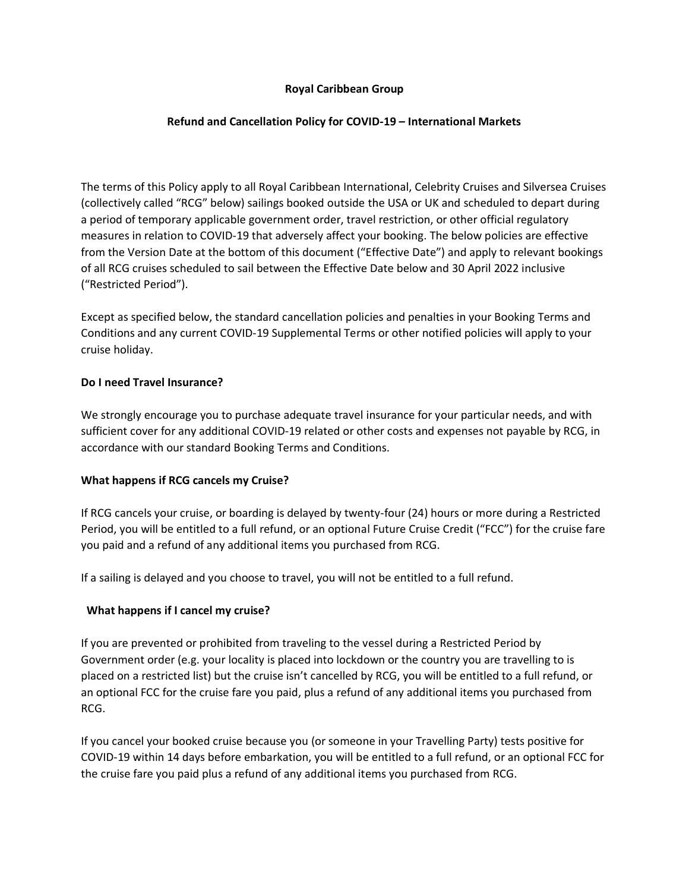### **Royal Caribbean Group**

### **Refund and Cancellation Policy for COVID-19 – International Markets**

The terms of this Policy apply to all Royal Caribbean International, Celebrity Cruises and Silversea Cruises (collectively called "RCG" below) sailings booked outside the USA or UK and scheduled to depart during a period of temporary applicable government order, travel restriction, or other official regulatory measures in relation to COVID-19 that adversely affect your booking. The below policies are effective from the Version Date at the bottom of this document ("Effective Date") and apply to relevant bookings of all RCG cruises scheduled to sail between the Effective Date below and 30 April 2022 inclusive ("Restricted Period").

Except as specified below, the standard cancellation policies and penalties in your Booking Terms and Conditions and any current COVID-19 Supplemental Terms or other notified policies will apply to your cruise holiday.

### **Do I need Travel Insurance?**

We strongly encourage you to purchase adequate travel insurance for your particular needs, and with sufficient cover for any additional COVID-19 related or other costs and expenses not payable by RCG, in accordance with our standard Booking Terms and Conditions.

# **What happens if RCG cancels my Cruise?**

If RCG cancels your cruise, or boarding is delayed by twenty-four (24) hours or more during a Restricted Period, you will be entitled to a full refund, or an optional Future Cruise Credit ("FCC") for the cruise fare you paid and a refund of any additional items you purchased from RCG.

If a sailing is delayed and you choose to travel, you will not be entitled to a full refund.

### **What happens if I cancel my cruise?**

If you are prevented or prohibited from traveling to the vessel during a Restricted Period by Government order (e.g. your locality is placed into lockdown or the country you are travelling to is placed on a restricted list) but the cruise isn't cancelled by RCG, you will be entitled to a full refund, or an optional FCC for the cruise fare you paid, plus a refund of any additional items you purchased from RCG.

If you cancel your booked cruise because you (or someone in your Travelling Party) tests positive for COVID-19 within 14 days before embarkation, you will be entitled to a full refund, or an optional FCC for the cruise fare you paid plus a refund of any additional items you purchased from RCG.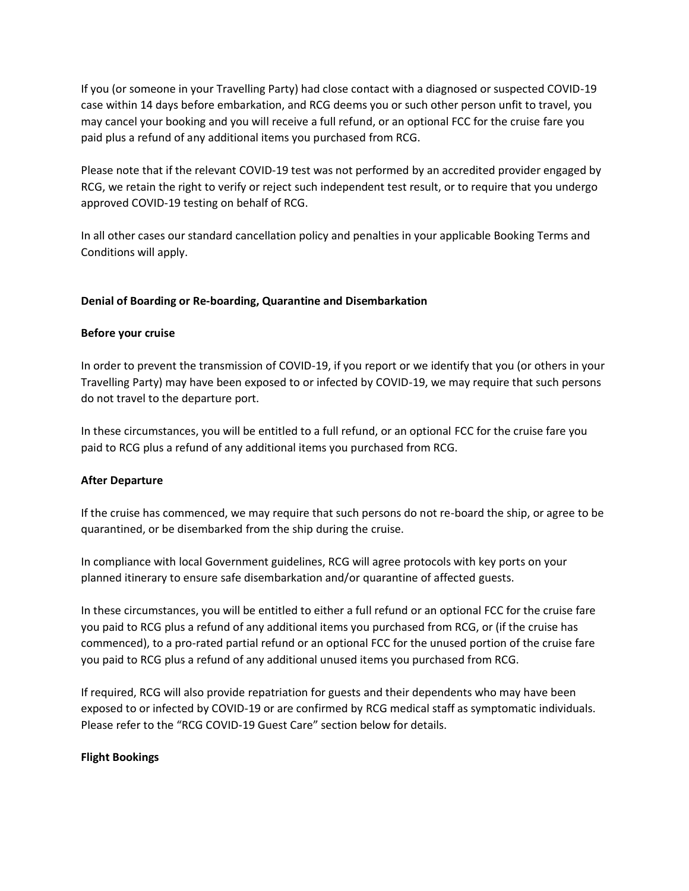If you (or someone in your Travelling Party) had close contact with a diagnosed or suspected COVID-19 case within 14 days before embarkation, and RCG deems you or such other person unfit to travel, you may cancel your booking and you will receive a full refund, or an optional FCC for the cruise fare you paid plus a refund of any additional items you purchased from RCG.

Please note that if the relevant COVID-19 test was not performed by an accredited provider engaged by RCG, we retain the right to verify or reject such independent test result, or to require that you undergo approved COVID-19 testing on behalf of RCG.

In all other cases our standard cancellation policy and penalties in your applicable Booking Terms and Conditions will apply.

### **Denial of Boarding or Re-boarding, Quarantine and Disembarkation**

### **Before your cruise**

In order to prevent the transmission of COVID-19, if you report or we identify that you (or others in your Travelling Party) may have been exposed to or infected by COVID-19, we may require that such persons do not travel to the departure port.

In these circumstances, you will be entitled to a full refund, or an optional FCC for the cruise fare you paid to RCG plus a refund of any additional items you purchased from RCG.

# **After Departure**

If the cruise has commenced, we may require that such persons do not re-board the ship, or agree to be quarantined, or be disembarked from the ship during the cruise.

In compliance with local Government guidelines, RCG will agree protocols with key ports on your planned itinerary to ensure safe disembarkation and/or quarantine of affected guests.

In these circumstances, you will be entitled to either a full refund or an optional FCC for the cruise fare you paid to RCG plus a refund of any additional items you purchased from RCG, or (if the cruise has commenced), to a pro-rated partial refund or an optional FCC for the unused portion of the cruise fare you paid to RCG plus a refund of any additional unused items you purchased from RCG.

If required, RCG will also provide repatriation for guests and their dependents who may have been exposed to or infected by COVID-19 or are confirmed by RCG medical staff as symptomatic individuals. Please refer to the "RCG COVID-19 Guest Care" section below for details.

### **Flight Bookings**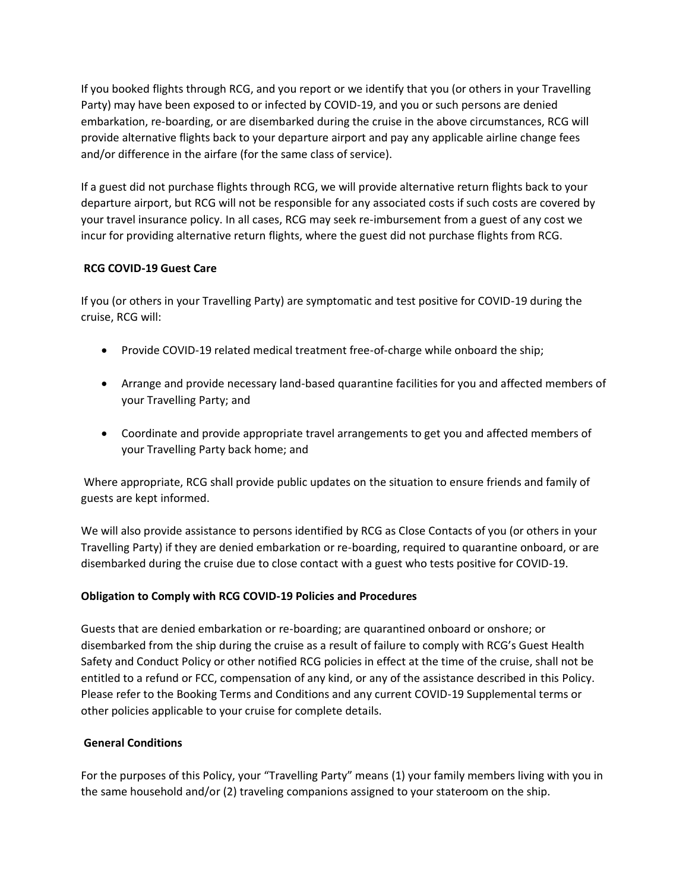If you booked flights through RCG, and you report or we identify that you (or others in your Travelling Party) may have been exposed to or infected by COVID-19, and you or such persons are denied embarkation, re-boarding, or are disembarked during the cruise in the above circumstances, RCG will provide alternative flights back to your departure airport and pay any applicable airline change fees and/or difference in the airfare (for the same class of service).

If a guest did not purchase flights through RCG, we will provide alternative return flights back to your departure airport, but RCG will not be responsible for any associated costs if such costs are covered by your travel insurance policy. In all cases, RCG may seek re-imbursement from a guest of any cost we incur for providing alternative return flights, where the guest did not purchase flights from RCG.

# **RCG COVID-19 Guest Care**

If you (or others in your Travelling Party) are symptomatic and test positive for COVID-19 during the cruise, RCG will:

- Provide COVID-19 related medical treatment free-of-charge while onboard the ship;
- Arrange and provide necessary land-based quarantine facilities for you and affected members of your Travelling Party; and
- Coordinate and provide appropriate travel arrangements to get you and affected members of your Travelling Party back home; and

Where appropriate, RCG shall provide public updates on the situation to ensure friends and family of guests are kept informed.

We will also provide assistance to persons identified by RCG as Close Contacts of you (or others in your Travelling Party) if they are denied embarkation or re-boarding, required to quarantine onboard, or are disembarked during the cruise due to close contact with a guest who tests positive for COVID-19.

# **Obligation to Comply with RCG COVID-19 Policies and Procedures**

Guests that are denied embarkation or re-boarding; are quarantined onboard or onshore; or disembarked from the ship during the cruise as a result of failure to comply with RCG's Guest Health Safety and Conduct Policy or other notified RCG policies in effect at the time of the cruise, shall not be entitled to a refund or FCC, compensation of any kind, or any of the assistance described in this Policy. Please refer to the Booking Terms and Conditions and any current COVID-19 Supplemental terms or other policies applicable to your cruise for complete details.

### **General Conditions**

For the purposes of this Policy, your "Travelling Party" means (1) your family members living with you in the same household and/or (2) traveling companions assigned to your stateroom on the ship.